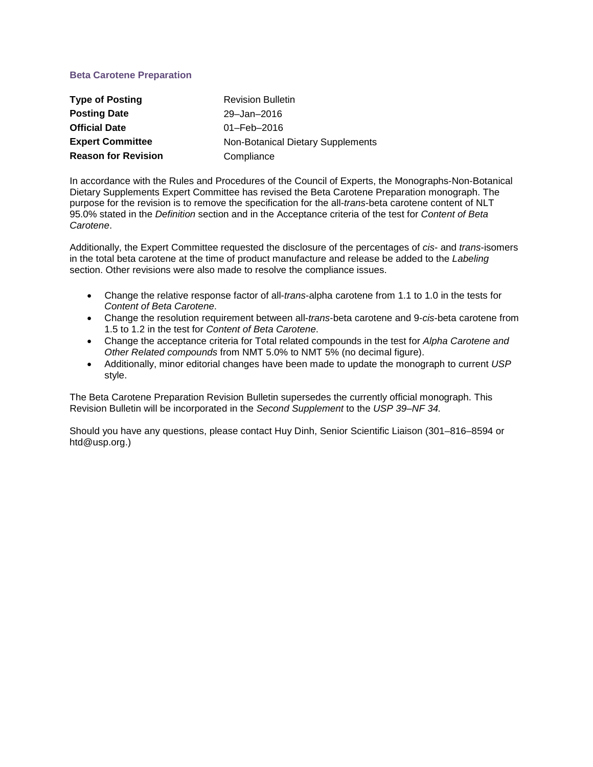# **Beta Carotene Preparation**

| <b>Type of Posting</b>     | <b>Revision Bulletin</b>          |
|----------------------------|-----------------------------------|
| <b>Posting Date</b>        | 29-Jan-2016                       |
| <b>Official Date</b>       | $01 - \text{Feb} - 2016$          |
| <b>Expert Committee</b>    | Non-Botanical Dietary Supplements |
| <b>Reason for Revision</b> | Compliance                        |

In accordance with the Rules and Procedures of the Council of Experts, the Monographs-Non-Botanical Dietary Supplements Expert Committee has revised the Beta Carotene Preparation monograph. The purpose for the revision is to remove the specification for the all-*trans*-beta carotene content of NLT 95.0% stated in the *Definition* section and in the Acceptance criteria of the test for *Content of Beta Carotene*.

Additionally, the Expert Committee requested the disclosure of the percentages of *cis*- and *trans*-isomers in the total beta carotene at the time of product manufacture and release be added to the *Labeling* section. Other revisions were also made to resolve the compliance issues.

- Change the relative response factor of all-*trans*-alpha carotene from 1.1 to 1.0 in the tests for *Content of Beta Carotene*.
- Change the resolution requirement between all-*trans*-beta carotene and 9-*cis*-beta carotene from 1.5 to 1.2 in the test for *Content of Beta Carotene*.
- Change the acceptance criteria for Total related compounds in the test for *Alpha Carotene and Other Related compounds* from NMT 5.0% to NMT 5% (no decimal figure).
- Additionally, minor editorial changes have been made to update the monograph to current *USP* style.

The Beta Carotene Preparation Revision Bulletin supersedes the currently official monograph. This Revision Bulletin will be incorporated in the *Second Supplement* to the *USP 39–NF 34.* 

Should you have any questions, please contact Huy Dinh, Senior Scientific Liaison (301–816–8594 or htd@usp.org.)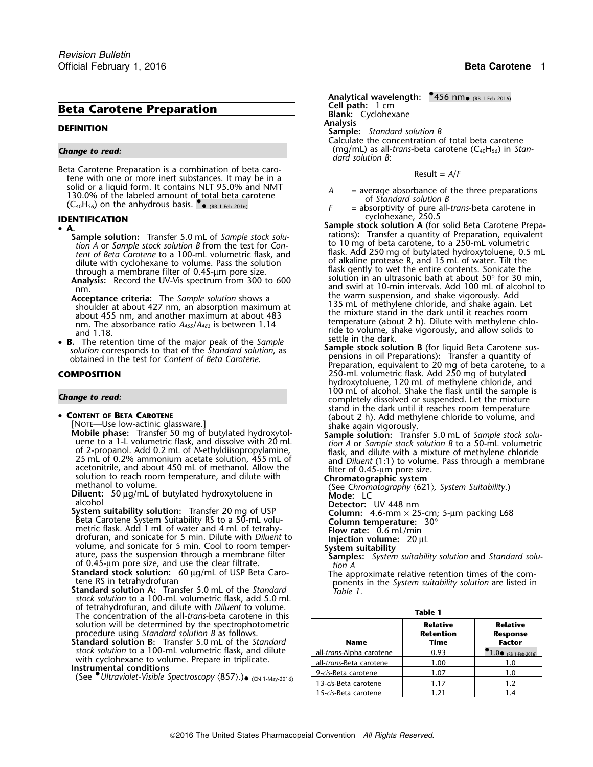Beta Carotene Preparation is a combination of beta caro-<br>tene with one or more inert substances. It may be in a<br>solid or a liquid form. It contains NLT 95.0% and NMT solid or a liquid form. It contains NLT 95.0% and NMT<br>130.0% of the labeled amount of total beta carotene<br>(C<sub>40</sub>H<sub>56</sub>) on the anhydrous basis.  $\bullet$  <sub>(RB 1-Feb-2016)</sub> example a labor of Standard solution B<br>(C<sub>40</sub>H<sub>56</sub>) on

- -
	-

Acceptance criteria: The *Sample solution* shows a 135 mL of methylene chloride, and shake vigorously. Add Shoulder at about 427 nm, an absorption maximum at 135 mL of methylene chloride, and shake again. Let shoulder at a about 455 nm, and another maximum at about 483 the mixture stand in the dark until it reaches room<br>nm. The absorbance ratio  $A_{455}/A_{483}$  is between 1.14 the mixture (about 2 h). Dilute with methylene chlo-

temperature absorbance ratio *A<sub>455</sub>/A<sub>83</sub>* is between 1.14 ride to volume, shake vigorously, and allow solids to and 1.18.<br>
• **B.** The retention time of the major peak of the *Sample* stock solution B (for liquid Beta C

- CONTENT OF BETA CAROTENE
	-

[NOTE—Use low-actinic glassware.]<br> **Mobile phase:** Transfer 50 mg of butylated hydroxytol-<br>
uene to a 1-L volumetric flask, and dissolve with 20 mL<br>
tion A or Sample stock solution B to a 50-mL volumetric uene to a 1-L volumetric flask, and dissolve with 20 mL *tion A* or *Sample stock solution B* to a 50-mL volumetric of 2-propanol. Add 0.2 mL of N-ethyldiisopropylamine,<br>
25 mL of 0.2% ammonium acetate solution, 455 mL of<br>
acetonitrile, and about 450 mL of methanol. Allow the<br>
solution to reach room temperature, and dilute with<br>
methan

**Diluent:** 50 µg/mL of butylated hydroxytoluene in Mode: LC<br>| alcohol **Detector: UV 448 nm**<br>| System suitability solution: Transfer 20 mg of USP | Column: 4.6-mm x 25

bystem suitability solution: Iransfer 20 mg of USP<br>Beta Carotene System Suitability RS to a 50-mL volu-<br>metric flask. Add 1 mL of water and 4 mL of tetrahy-<br>drofuran, and sonicate for 5 min. Dilute with *Diluent* to<br>volum volume, and sonicate for 5 min. Cool to room temper- **System suitability** ature, pass the suspension through a membrane filter **Samples:** *System suitability solution* and *Standard solu-*

of 0.45-µm pore size, and use the clear filtrate. *tion A*

- **Standard solution A: Transfer 5.0 mL of the Standard** *stock solution* to a 100-mL volumetric flask, add 5.0 mL of tetrahydrofuran, and dilute with *Diluent* to volume. **Table 1** The concentration of the all-*trans*-beta carotene in this solution will be determined by the spectrophotometric **Relative Relative Relative Relative** procedure using *Standard solution B* as follows.
- **Standard solution B:** Transfer 5.0 mL of the *Standard stock solution* to a 100-mL volumetric flask, and dilute with cyclohexane to volume. Prepare in triplicate.

**Analytical wavelength:**  $\bullet$ 456 nm $\bullet$  (RB 1-Feb-2016) **Example 2 cell path:** 1 cm **Beta Carotene Preparation**<br> **Blank:** Cyclohexane **Blank:** Cyclohexane **Analysis Analysis DEFINITION Sample:** *Standard solution B* Calculate the concentration of total beta carotene *Change to read:* (mg/mL) as all-*trans*-beta carotene (C40H56) in *Standard solution B*:

- 
- (RB 1-Feb-2016) *<sup>F</sup>* = absorptivity of pure all-*trans*-beta carotene in
- cyclohexane, 250.5 **IDENTIFICATION Sample stock solution A** (for solid Beta Carotene Prepa- •**Sample solution:** Transfer 5.0 mL of *Sample stock solution*<br>
tion A or *Sample stock solution B* from the test for *Con*<br>
tent of *Beta Carotene to a 100-mL* volumetric flask, and<br>
dilute with cyclohexane to volume. Pas Analysis: Record the OV-Vis spectrum from 300 to 600<br>
nm,<br>**Acceptance criteria:** The Sample solution shows a brown suspension, and shake vigorously. Add
- **Example Solution** Corresponds to that of the *Standard solution*, as<br>
solution corresponds to that of the *Standard solution*, as<br>
obtained in the test for *Content of Beta Carotene*.<br> **COMPOSITION**<br>
COMPOSITION<br>
250-mL v 250-mL volumetric flask. Add 250 mg of butylated hydroxytoluene, 120 mL of methylene chloride, and **Change to read:** Change to read: Completely dissolved or suspended. Let the mixture completely dissolved or suspended. Let the mixture stand in the dark until it reaches room temperature<br>(about 2 h). Add methylene chloride to volume, and
	-

- 
- of tandard stock solution: 60 µg/mL of USP Beta Caro-<br>
The approximate relative retention times of the com-<br>
ponents in the *System suitability solution* are listed in<br> **itandard solution A:** Transfer 5.0 mL of the *Standa*

| <b>Relative</b> |  |
|-----------------|--|
| Retention       |  |

| procedure using Standard solution B as follows.                                                                                                                                                                                      |                                  | Retention   | <b>Response</b>                   |
|--------------------------------------------------------------------------------------------------------------------------------------------------------------------------------------------------------------------------------------|----------------------------------|-------------|-----------------------------------|
| <b>Standard solution B:</b> Transfer 5.0 mL of the Standard                                                                                                                                                                          | <b>Name</b>                      | <b>Time</b> | Factor                            |
| stock solution to a 100-mL volumetric flask, and dilute<br>with cyclohexane to volume. Prepare in triplicate.<br>Instrumental conditions<br>(See $\bullet$ Ultraviolet-Visible Spectroscopy $(857)$ .). $_{\bullet}$ (CN 1-May-2016) | all-trans-Alpha carotene         | 0.93        | $1.0 \cdot (RB \t1 - Feb - 2016)$ |
|                                                                                                                                                                                                                                      | all- <i>trans</i> -Beta carotene | 1.00        |                                   |
|                                                                                                                                                                                                                                      | 9-cis-Beta carotene              | 1.07        | 1.0                               |
|                                                                                                                                                                                                                                      | 13-cis-Beta carotene             | 1.17        | 1.2                               |
|                                                                                                                                                                                                                                      | 15-cis-Beta carotene             | 1.21        |                                   |